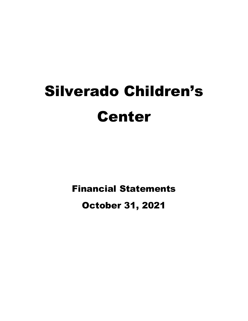# Silverado Children's Center

Financial Statements

October 31, 2021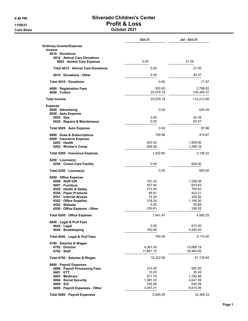## 8:40 PM Silverado Children's Center 11/09/21 Profit & Loss

#### Cash Basis October 2021

|                                                                            | <b>Oct 21</b>         | Jul - Oct 21           |  |
|----------------------------------------------------------------------------|-----------------------|------------------------|--|
| <b>Ordinary Income/Expense</b><br><b>Income</b>                            |                       |                        |  |
| 4010 Donations<br>4012 Animal Care Donations<br>6962 · Animal Care Expense | 0.00                  | 27.00                  |  |
| Total 4012 Animal Care Donations                                           | 0.00                  | 27.00                  |  |
| 4010 Donations - Other                                                     | 0.00                  | 44.57                  |  |
| Total 4010 Donations                                                       | 0.00                  | 71.57                  |  |
| 4080 · Registration Fees<br>4090 · Tuition                                 | 500.00<br>25,079.19   | 2,796.62<br>109,345.37 |  |
| <b>Total Income</b>                                                        | 25,579.19             | 112,213.56             |  |
|                                                                            |                       |                        |  |
| <b>Expense</b><br>6000 Advertising<br>6020 · Auto Expense                  | 0.00                  | 635.49                 |  |
| $6022 \cdot Gas$<br>6025 · Repairs & Maintenance                           | 0.00<br>0.00          | 45.39<br>52.47         |  |
| Total 6020 · Auto Expense                                                  | 0.00                  | 97.86                  |  |
| 6090 Dues & Subscriptions<br>6200 · Insurance Expense                      | 159.98                | 414.67                 |  |
| 6203 Health<br>6202 · Worker's Comp                                        | 603.02<br>649.58      | 1,809.06<br>1,299.16   |  |
| Total 6200 · Insurance Expense                                             | 1,252.60              | 3,108.22               |  |
| $6250 \cdot \text{License(s)}$<br>6254 Comm Care Facility                  | 0.00                  | 605.00                 |  |
| Total 6250 · License(s)                                                    | 0.00                  | 605.00                 |  |
| 6550 Office Expense                                                        |                       |                        |  |
| 6958 Staff Gift                                                            | 161.43<br>457.60      | 1,258.08               |  |
| 6957 · Furniture<br>6555 · Health & Safety                                 | 213.40                | 633.63<br>764.63       |  |
| 6554 · Paper Products                                                      | 85.91                 | 422.21                 |  |
| 6551 Internet Access                                                       | 74.28                 | 295.00                 |  |
| 6552 Office Supplies                                                       | 218.24                | 1,180.30               |  |
| 6553 Website                                                               | 0.00                  | 59.88                  |  |
| 6550 Office Expense - Other                                                | 230.61                | 336.52                 |  |
| Total 6550 · Office Expense                                                | 1,441.47              | 4,950.25               |  |
| 6640 · Legal & Prof Fees                                                   |                       |                        |  |
| 6642 · Legal<br>6644 · Bookkeeping                                         | 0.00<br>750.00        | 615.00<br>4,500.00     |  |
| Total 6640 Legal & Prof Fees                                               | 750.00                | 5,115.00               |  |
| 6790 · Salaries & Wages                                                    |                       |                        |  |
| 6793 Director<br>$6792 \cdot$ Staff                                        | 4,361.54<br>11,861.15 | 15,668.19<br>35,464.65 |  |
| Total 6790 · Salaries & Wages                                              | 16,222.69             | 51,132.84              |  |
| 6800 · Payroll Expenses                                                    |                       |                        |  |
| 6806 · Payroll Processing Fees                                             | 210.00                | 682.50                 |  |
| 6801 ETT                                                                   | 10.25                 | 25.49                  |  |
| 6803 Medicare                                                              | 571.70                | 1,782.68               |  |
| 6804 · Social Security                                                     | 1,381.03              | 4,647.59               |  |
| 6805 · SUI                                                                 | 245.56                | 620.09                 |  |
| 6800 · Payroll Expenses - Other                                            | 3,047.01              | 8,610.98               |  |
|                                                                            |                       |                        |  |
| Total 6800 · Payroll Expenses                                              | 5,465.55              | 16,369.33              |  |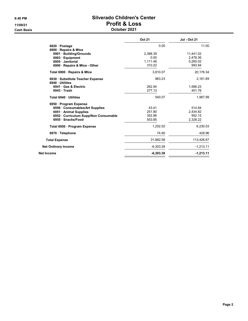**Cash Basis** 

# 8:40 PM Silverado Children's Center 11/09/21<br>
Cash Basis<br>
Cash Basis<br>
Cash Doctober 2021

| October 2021 |  |
|--------------|--|
|--------------|--|

|                                                   | <b>Oct 21</b> | <b>Jul - Oct 21</b> |
|---------------------------------------------------|---------------|---------------------|
| 6820 · Postage                                    | 0.00          | 11.00               |
| 6900 · Repairs & Mtce                             |               |                     |
| 6901 · Building/Grounds                           | 2,388.39      | 11,441.02           |
| 6903 · Equipment                                  | 0.00          | 2,478.36            |
| 6905 Janitorial                                   | 1.111.46      | 5,265.02            |
| 6900 Repairs & Mtce - Other                       | 310.22        | 993.94              |
| Total 6900 · Repairs & Mtce                       | 3,810.07      | 20,178.34           |
| 6930 Substitute Teacher Expense<br>6940 Utilities | 963.23        | 2,161.69            |
| 6941 Gas & Electric                               | 262.94        | 1,586.23            |
| 6943 Trash                                        | 277.13        | 401.76              |
| Total 6940 · Utilities                            | 540.07        | 1,987.99            |
| 6950 · Program Expense                            |               |                     |
| 6956 Consumables/Art Supplies                     | 43.41         | 514.84              |
| 6951 Animal Supplies                              | 251.80        | 2,434.82            |
| 6952 Curriculum Supp/Non Consumable               | 352.96        | 952.15              |
| 6955 · Snacks/Food                                | 553.85        | 2,328.22            |
| Total 6950 · Program Expense                      | 1,202.02      | 6,230.03            |
| 6970 · Telephone                                  | 74.90         | 428.96              |
| <b>Total Expense</b>                              | 31,882.58     | 113,426.67          |
| <b>Net Ordinary Income</b>                        | $-6.303.39$   | $-1,213.11$         |
| Net Income                                        | $-6,303.39$   | $-1,213.11$         |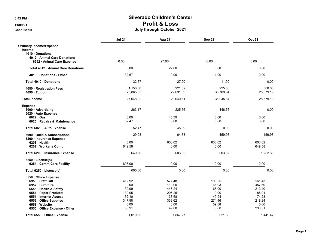#### 8:42 PM Silverado Children's Center 11/09/21 Profit & Loss

### Cash Basis July through October 2021

|                                  | <b>Jul 21</b> | Aug 21    | Sep 21    | <b>Oct 21</b> |
|----------------------------------|---------------|-----------|-----------|---------------|
| <b>Ordinary Income/Expense</b>   |               |           |           |               |
| <b>Income</b>                    |               |           |           |               |
| 4010 Donations                   |               |           |           |               |
| 4012 Animal Care Donations       |               |           |           |               |
| 6962 · Animal Care Expense       | 0.00          | 27.00     | 0.00      | 0.00          |
| Total 4012 Animal Care Donations | 0.00          | 27.00     | 0.00      | 0.00          |
| 4010 Donations - Other           | 32.67         | 0.00      | 11.90     | 0.00          |
| Total 4010 Donations             | 32.67         | 27.00     | 11.90     | 0.00          |
| 4080 · Registration Fees         | 1,150.00      | 921.62    | 225.00    | 500.00        |
| 4090 · Tuition                   | 25,865.35     | 22,691.89 | 35,708.94 | 25,079.19     |
| <b>Total Income</b>              | 27,048.02     | 23,640.51 | 35,945.84 | 25,579.19     |
| <b>Expense</b>                   |               |           |           |               |
| 6000 · Advertising               | 263.17        | 225.56    | 146.76    | 0.00          |
| 6020 · Auto Expense              |               |           |           |               |
| $6022 \cdot Gas$                 | 0.00          | 45.39     | 0.00      | 0.00          |
| 6025 · Repairs & Maintenance     | 52.47         | 0.00      | 0.00      | 0.00          |
| Total 6020 · Auto Expense        | 52.47         | 45.39     | 0.00      | 0.00          |
| 6090 · Dues & Subscriptions      | 29.98         | 64.73     | 159.98    | 159.98        |
| 6200 · Insurance Expense         |               |           |           |               |
| $6203$ Health                    | 0.00          | 603.02    | 603.02    | 603.02        |
| 6202 · Worker's Comp             | 649.58        | 0.00      | 0.00      | 649.58        |
| Total 6200 · Insurance Expense   | 649.58        | 603.02    | 603.02    | 1,252.60      |
| $6250 \cdot \text{License(s)}$   |               |           |           |               |
| 6254 · Comm Care Facility        | 605.00        | 0.00      | 0.00      | 0.00          |
| Total 6250 · License(s)          | 605.00        | 0.00      | 0.00      | 0.00          |
| 6550 · Office Expense            |               |           |           |               |
| 6958 · Staff Gift                | 412.92        | 577.48    | 106.25    | 161.43        |
| 6957 · Furniture                 | 0.00          | 110.00    | 66.03     | 457.60        |
| 6555 Health & Safety             | 39.99         | 446.24    | 65.00     | 213.40        |
| 6554 · Paper Products            | 130.05        | 206.25    | 0.00      | 85.91         |
| 6551 · Internet Access           | 32.10         | 138.68    | 49.94     | 74.28         |
| 6552 Office Supplies             | 347.98        | 339.62    | 274.46    | 218.24        |
| 6553 Website                     | 0.00          | 0.00      | 59.88     | 0.00          |
| 6550 Office Expense - Other      | 56.91         | 49.00     | 0.00      | 230.61        |
| Total 6550 · Office Expense      | 1.019.95      | 1,867.27  | 621.56    | 1.441.47      |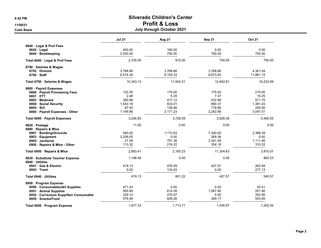#### 8:42 PM Silverado Children's Center 11/09/21 Profit & Loss

#### Cash Basis July through October 2021

|                                                     | <b>Jul 21</b> | <b>Aug 21</b> | Sep 21    | <b>Oct 21</b> |
|-----------------------------------------------------|---------------|---------------|-----------|---------------|
| 6640 · Legal & Prof Fees                            |               |               |           |               |
| $6642 \cdot$ Legal                                  | 450.00        | 165.00        | 0.00      | 0.00          |
| 6644 · Bookkeeping                                  | 2,250.00      | 750.00        | 750.00    | 750.00        |
| Total 6640 · Legal & Prof Fees                      | 2,700.00      | 915.00        | 750.00    | 750.00        |
| 6790 Salaries & Wages                               |               |               |           |               |
| 6793 Director                                       | 3,768.89      | 3,768.88      | 3,768.88  | 4,361.54      |
| 6792 Staff                                          | 6,574.24      | 8,155.33      | 8,873.93  | 11,861.15     |
| Total 6790 · Salaries & Wages                       | 10,343.13     | 11,924.21     | 12,642.81 | 16,222.69     |
| 6800 · Payroll Expenses                             |               |               |           |               |
| 6806 · Payroll Processing Fees                      | 122.50        | 175.00        | 175.00    | 210.00        |
| 6801 ETT                                            | 2.48          | 5.29          | 7.47      | 10.25         |
| 6803 Medicare                                       | 360.88        | 417.12        | 432.98    | 571.70        |
| 6804 · Social Security                              | 1,543.18      | 833.01        | 890.37    | 1,381.03      |
| $6805 \cdot SUI$                                    | 67.93         | 126.94        | 179.66    | 245.56        |
| 6800 · Payroll Expenses - Other                     | 1,149.86      | 2,171.23      | 2,242.88  | 3,047.01      |
| Total 6800 · Payroll Expenses                       | 3,246.83      | 3,728.59      | 3,928.36  | 5,465.55      |
| 6820 · Postage                                      | 11.00         | 0.00          | 0.00      | 0.00          |
| 6900 · Repairs & Mtce                               |               |               |           |               |
| 6901 · Building/Grounds                             | 540.00        | 1,172.63      | 7,340.00  | 2,388.39      |
| 6903 · Equipment                                    | 2.209.00      | 0.00          | 269.36    | 0.00          |
| 6905 Janitorial                                     | 21.09         | 791.38        | 3,341.09  | 1,111.46      |
| 6900 · Repairs & Mtce - Other                       | 113.32        | 216.22        | 354.18    | 310.22        |
| Total 6900 · Repairs & Mtce                         | 2,883.41      | 2.180.23      | 11,304.63 | 3,810.07      |
| 6930 · Substitute Teacher Expense<br>6940 Utilities | 1,198.46      | 0.00          | 0.00      | 963.23        |
| 6941 Gas & Electric                                 | 419.13        | 476.59        | 427.57    | 262.94        |
| $6943 \cdot$ Trash                                  | 0.00          | 124.63        | 0.00      | 277.13        |
| Total 6940 · Utilities                              | 419.13        | 601.22        | 427.57    | 540.07        |
| 6950 · Program Expense                              |               |               |           |               |
| 6956 Consumables/Art Supplies                       | 471.43        | 0.00          | 0.00      | 43.41         |
| 6951 Animal Supplies                                | 500.84        | 614.38        | 1,067.80  | 251.80        |
| 6952 Curriculum Supp/Non Consumable                 | 329.12        | 270.07        | 0.00      | 352.96        |
| 6955 · Snacks/Food                                  | 575.94        | 829.26        | 369.17    | 553.85        |
| Total 6950 · Program Expense                        | 1,877.33      | 1,713.71      | 1,436.97  | 1,202.02      |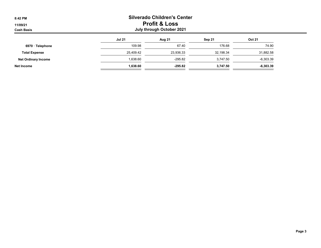| 8:42 PM                       |                                                       | <b>Silverado Children's Center</b> |           |               |  |  |
|-------------------------------|-------------------------------------------------------|------------------------------------|-----------|---------------|--|--|
| 11/09/21<br><b>Cash Basis</b> | <b>Profit &amp; Loss</b><br>July through October 2021 |                                    |           |               |  |  |
|                               | <b>Jul 21</b>                                         | Aug 21                             | Sep 21    | <b>Oct 21</b> |  |  |
| 6970 · Telephone              | 109.98                                                | 67.40                              | 176.68    | 74.90         |  |  |
| <b>Total Expense</b>          | 25,409.42                                             | 23,936.33                          | 32,198.34 | 31,882.58     |  |  |
| <b>Net Ordinary Income</b>    | 1,638.60                                              | $-295.82$                          | 3,747.50  | $-6,303.39$   |  |  |
| Net Income                    | 1,638.60                                              | -295.82                            | 3,747.50  | $-6,303.39$   |  |  |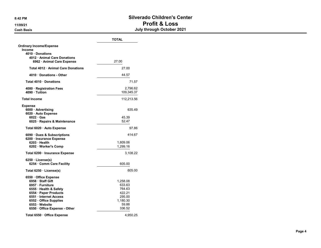#### 8:42 PM Silverado Children's Center 11/09/21 Profit & Loss Cash Basis July through October 2021

|                                         | <b>TOTAL</b>   |
|-----------------------------------------|----------------|
| <b>Ordinary Income/Expense</b>          |                |
| Income<br>4010 · Donations              |                |
| 4012 Animal Care Donations              |                |
| 6962 · Animal Care Expense              | 27.00          |
| Total 4012 · Animal Care Donations      | 27.00          |
| 4010 Donations - Other                  | 44.57          |
| Total 4010 Donations                    | 71.57          |
| 4080 · Registration Fees                | 2,796.62       |
| 4090 Tuition                            | 109,345.37     |
| <b>Total Income</b>                     | 112,213.56     |
| <b>Expense</b>                          |                |
| 6000 · Advertising                      | 635.49         |
| 6020 · Auto Expense                     |                |
| $6022$ Gas                              | 45.39<br>52.47 |
| 6025 · Repairs & Maintenance            |                |
| Total 6020 · Auto Expense               | 97.86          |
| 6090 Dues & Subscriptions               | 414.67         |
| 6200 · Insurance Expense<br>6203 Health | 1,809.06       |
| 6202 · Worker's Comp                    | 1,299.16       |
|                                         |                |
| Total 6200 · Insurance Expense          | 3,108.22       |
| 6250 License(s)                         |                |
| 6254 Comm Care Facility                 | 605.00         |
| Total 6250 · License(s)                 | 605.00         |
| 6550 · Office Expense                   |                |
| 6958 · Staff Gift                       | 1,258.08       |
| 6957 · Furniture                        | 633.63         |
| 6555 · Health & Safety                  | 764.63         |
| 6554 · Paper Products                   | 422.21         |
| 6551 Internet Access                    | 295.00         |
| 6552 · Office Supplies                  | 1,180.30       |
| 6553 · Website                          | 59.88          |
| 6550 Office Expense - Other             | 336.52         |
| Total 6550 · Office Expense             | 4,950.25       |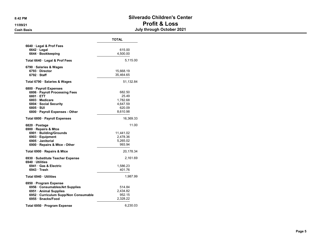#### 8:42 PM Silverado Children's Center 11/09/21 Profit & Loss Cash Basis July through October 2021

|                                                                                                                                                                   | <b>TOTAL</b>                                                  |
|-------------------------------------------------------------------------------------------------------------------------------------------------------------------|---------------------------------------------------------------|
| 6640 Legal & Prof Fees<br>$6642 \cdot$ Legal<br>6644 · Bookkeeping                                                                                                | 615.00<br>4,500.00                                            |
| Total 6640 · Legal & Prof Fees                                                                                                                                    | 5,115.00                                                      |
| 6790 · Salaries & Wages<br>6793 Director<br>6792 Staff                                                                                                            | 15,668.19<br>35,464.65                                        |
| Total 6790 · Salaries & Wages                                                                                                                                     | 51,132.84                                                     |
| 6800 · Payroll Expenses<br>6806 · Payroll Processing Fees<br>6801 ETT<br>6803 Medicare<br>6804 · Social Security<br>6805 · SUI<br>6800 · Payroll Expenses - Other | 682.50<br>25.49<br>1,782.68<br>4,647.59<br>620.09<br>8,610.98 |
| Total 6800 · Payroll Expenses                                                                                                                                     | 16,369.33                                                     |
| 6820 · Postage<br>6900 · Repairs & Mtce<br>6901 · Building/Grounds<br>6903 · Equipment<br>6905 Janitorial<br>6900 · Repairs & Mtce - Other                        | 11.00<br>11,441.02<br>2,478.36<br>5,265.02<br>993.94          |
| Total 6900 · Repairs & Mtce                                                                                                                                       | 20,178.34                                                     |
| 6930 · Substitute Teacher Expense<br>6940 Utilities<br>6941 Gas & Electric<br>6943 Trash                                                                          | 2,161.69<br>1,586.23<br>401.76                                |
| Total 6940 Utilities                                                                                                                                              | 1,987.99                                                      |
| 6950 · Program Expense<br>6956 · Consumables/Art Supplies<br>6951 · Animal Supplies<br>6952 Curriculum Supp/Non Consumable<br>6955 · Snacks/Food                  | 514.84<br>2,434.82<br>952.15<br>2,328.22                      |
| Total 6950 · Program Expense                                                                                                                                      | 6,230.03                                                      |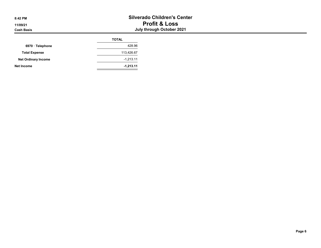|                            | <b>TOTAL</b> |
|----------------------------|--------------|
| 6970 · Telephone           | 428.96       |
| <b>Total Expense</b>       | 113,426.67   |
| <b>Net Ordinary Income</b> | $-1,213.11$  |
| Net Income                 | $-1,213.11$  |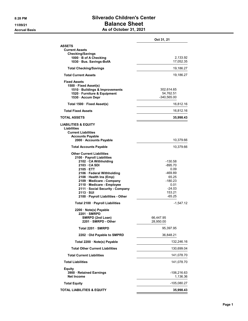#### 8:28 PM Silverado Children's Center 11/09/21 Balance Sheet Accrual Basis **Accrual Basis** As of October 31, 2021

|                                                                                                                                                                                                                                                                                                                                    | Oct 31, 21                                                                                            |
|------------------------------------------------------------------------------------------------------------------------------------------------------------------------------------------------------------------------------------------------------------------------------------------------------------------------------------|-------------------------------------------------------------------------------------------------------|
| <b>ASSETS</b><br><b>Current Assets</b><br><b>Checking/Savings</b><br>1000 · B of A Checking<br>1030 · Bus. Savings-BofA                                                                                                                                                                                                            | 2,133.92<br>17,052.35                                                                                 |
| <b>Total Checking/Savings</b>                                                                                                                                                                                                                                                                                                      | 19,186.27                                                                                             |
| <b>Total Current Assets</b>                                                                                                                                                                                                                                                                                                        | 19,186.27                                                                                             |
| <b>Fixed Assets</b><br>1500 · Fixed Asset(s)<br>1510 · Buildings & Improvements<br>1520 Furniture & Equipment<br>1530 · Accum Depr                                                                                                                                                                                                 | 302,614.65<br>54,762.51<br>-340,565.00                                                                |
| Total 1500 · Fixed Asset(s)                                                                                                                                                                                                                                                                                                        | 16,812.16                                                                                             |
| <b>Total Fixed Assets</b>                                                                                                                                                                                                                                                                                                          | 16,812.16                                                                                             |
| TOTAL ASSETS                                                                                                                                                                                                                                                                                                                       | 35,998.43                                                                                             |
| <b>LIABILITIES &amp; EQUITY</b><br>Liabilities<br><b>Current Liabilities</b><br><b>Accounts Payable</b><br>2000 · Accounts Payable                                                                                                                                                                                                 | 10,379.66                                                                                             |
| <b>Total Accounts Payable</b>                                                                                                                                                                                                                                                                                                      | 10,379.66                                                                                             |
| <b>Other Current Liabilities</b><br>2100 · Payroll Liabilities<br>2102 · CA Withholding<br>2103 CA SDI<br>2105 ETT<br>2106 · Federal Withholding<br>2108 · Health Ins (Emp)<br>2109 Medicare - Company<br>2110 · Medicare - Employee<br>2111 · Social Security - Company<br>$2113 \cdot SUI$<br>2100 · Payroll Liabilities - Other | -130.58<br>-895.70<br>0.09<br>-469.89<br>65.25<br>$-180.23$<br>0.01<br>$-24.03$<br>153.21<br>$-65.25$ |
| Total 2100 · Payroll Liabilities                                                                                                                                                                                                                                                                                                   | -1,547.12                                                                                             |
| 2200 · Note(s) Payable<br>2201 SMRPD<br>SMRPD (2nd Loan)<br>2201 · SMRPD - Other                                                                                                                                                                                                                                                   | 66,447.95<br>28,950.00                                                                                |
| Total 2201 · SMRPD                                                                                                                                                                                                                                                                                                                 | 95,397.95                                                                                             |
| 2202 · Old Payable to SMPRD                                                                                                                                                                                                                                                                                                        | 36,848.21                                                                                             |
| Total 2200 · Note(s) Payable                                                                                                                                                                                                                                                                                                       | 132,246.16                                                                                            |
| <b>Total Other Current Liabilities</b>                                                                                                                                                                                                                                                                                             | 130,699.04                                                                                            |
| <b>Total Current Liabilities</b>                                                                                                                                                                                                                                                                                                   | 141,078.70                                                                                            |
| <b>Total Liabilities</b>                                                                                                                                                                                                                                                                                                           | 141,078.70                                                                                            |
| Equity<br>3900 · Retained Earnings<br><b>Net Income</b>                                                                                                                                                                                                                                                                            | -106,216.63<br>1,136.36                                                                               |
| <b>Total Equity</b>                                                                                                                                                                                                                                                                                                                | -105,080.27                                                                                           |
| <b>TOTAL LIABILITIES &amp; EQUITY</b>                                                                                                                                                                                                                                                                                              | 35,998.43                                                                                             |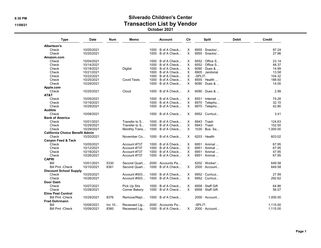#### 8:30 PM Silverado Children's Center 11/09/21 Transaction List by Vendor October 2021

| <b>Type</b>                            | <b>Date</b> | Num    | Memo               | <b>Account</b>            | Clr      | <b>Split</b>               | Debit | <b>Credit</b> |
|----------------------------------------|-------------|--------|--------------------|---------------------------|----------|----------------------------|-------|---------------|
| <b>Albertson's</b>                     |             |        |                    |                           |          |                            |       |               |
| Check                                  | 10/05/2021  |        |                    | $1000 \cdot B$ of A Check | Х        | $6955 \cdot$ Snacks/       |       | 87.24         |
| Check                                  | 10/25/2021  |        |                    | $1000 \cdot B$ of A Check | X        | $6955 \cdot$ Snacks/       |       | 27.96         |
| Amazon.com                             |             |        |                    |                           |          |                            |       |               |
| Check                                  | 10/04/2021  |        |                    | $1000 \cdot B$ of A Check | Х        | $6552 \cdot$ Office S      |       | 23.14         |
| Check                                  | 10/14/2021  |        |                    | 1000 · B of A Check       | X        | $6552 \cdot$ Office S      |       | 48.37         |
| Check                                  | 10/18/2021  |        | Digital            | $1000 \cdot B$ of A Check | X        | $6090 \cdot$ Dues &        |       | 14.99         |
| Check                                  | 10/21/2021  |        |                    | 1000 · B of A Check       | Χ        | 6905 · Janitorial          |       | 13.58         |
| Check                                  | 10/22/2021  |        |                    | $1000 \cdot B$ of A Check | $\times$ | -SPLIT-                    |       | 104.32        |
| Check                                  | 10/25/2021  |        | <b>Covid Tests</b> | $1000 \cdot B$ of A Check | X        | $6555 \cdot$ Health        |       | 188.50        |
| Check                                  | 10/29/2021  |        |                    | 1000 · B of A Check       | X        | $6090 \cdot$ Dues &        |       | 14.00         |
| Apple.com                              |             |        |                    |                           |          |                            |       |               |
| Check                                  | 10/25/2021  |        | Cloud              | $1000 \cdot B$ of A Check | X        | $6090 \cdot$ Dues &        |       | 2.99          |
| AT&T                                   |             |        |                    |                           |          |                            |       |               |
| Check                                  | 10/05/2021  |        |                    | $1000 \cdot B$ of A Check | х        | $6551 \cdot$ Internet      |       | 74.28         |
| Check                                  | 10/19/2021  |        |                    | $1000 \cdot B$ of A Check | X        | 6970 · Telepho             |       | 32.10         |
| Check                                  | 10/29/2021  |        |                    | $1000 \cdot B$ of A Check | X.       | $6970 \cdot$ Telepho       |       | 42.80         |
| Audible                                |             |        |                    |                           |          |                            |       |               |
| Check                                  | 10/08/2021  |        |                    | $1000 \cdot B$ of A Check | X        | 6952 · Curricul            |       | 3.41          |
| <b>Bank of America</b>                 |             |        |                    |                           |          |                            |       |               |
| Check                                  | 10/01/2021  |        | Transfer to S      | $1000 \cdot B$ of A Check | Χ        | $6943 \cdot$ Trash         |       | 124.63        |
| Check                                  | 10/29/2021  |        | Transfer to S      | $1000 \cdot B$ of A Check | Χ        | $6943 \cdot$ Trash         |       | 152.50        |
|                                        |             |        |                    |                           | X        | $1030 \cdot$ Bus, Sa       |       |               |
| Check                                  | 10/29/2021  |        | Monthly Trans      | $1000 \cdot B$ of A Check |          |                            |       | 1,000.00      |
| <b>California Choice Benefit Admin</b> |             |        |                    |                           |          |                            |       |               |
| Check                                  | 10/20/2021  |        | November Co        | 1000 · B of A Check       | X.       | $6203 \cdot$ Health        |       | 603.02        |
| <b>Canyon Feed &amp; Tack</b>          |             |        |                    |                           |          |                            |       |               |
| Check                                  | 10/05/2021  |        | Account #737       | $1000 \cdot B$ of A Check | X        | $6951 \cdot$ Animal        |       | 67.95         |
| Check                                  | 10/12/2021  |        | Account #737       | 1000 · B of A Check       | X        | $6951 \cdot$ Animal        |       | 67.95         |
| Check                                  | 10/18/2021  |        | Account #737       | $1000 \cdot B$ of A Check | X        | 6951 · Animal              |       | 47.95         |
| Check                                  | 10/26/2021  |        | Account #737       | 1000 · B of A Check       | X        | 6951 · Animal              |       | 67.95         |
| <b>CAPRI</b>                           |             |        |                    |                           |          |                            |       |               |
| Bill                                   | 10/01/2021  | 5330   | Second Quart       | 2000 · Accounts Pa        |          | $6202 \cdot \text{Worker}$ |       | 649.58        |
| <b>Bill Pmt -Check</b>                 | 10/10/2021  | 8361   | Second Quart       | $1000 \cdot B$ of A Check | X        | $2000 \cdot$ Account       |       | 649.58        |
| <b>Discount School Supply</b>          |             |        |                    |                           |          |                            |       |               |
| Check                                  | 10/25/2021  |        | Account #003       | $1000 \cdot B$ of A Check | Χ        | $6952 \cdot$ Curricul      |       | 27.99         |
| Check                                  | 10/26/2021  |        | Account #003       | $1000 \cdot B$ of A Check | X        | 6952 · Curricul            |       | 292.62        |
| Door Dash                              |             |        |                    |                           |          |                            |       |               |
| Check                                  | 10/07/2021  |        | Pick Up Stix       | $1000 \cdot B$ of A Check | Χ        | 6958 · Staff Gift          |       | 64.86         |
| Check                                  | 10/28/2021  |        | Corner Bakery      | 1000 · B of A Check       | X        | 6958 · Staff Gift          |       | 56.57         |
| <b>Elms Pest Control</b>               |             |        |                    |                           |          |                            |       |               |
| <b>Bill Pmt - Check</b>                | 10/29/2021  | 8376   | Remove/Repl        | $1000 \cdot B$ of A Check |          | $2000 \cdot$ Account       |       | 1,000.00      |
| <b>Fred Dohrmann</b>                   |             |        |                    |                           |          |                            |       |               |
| Bill                                   | 10/09/2021  | Inv 10 | Recessed Lig       | $2000 \cdot$ Accounts Pa  |          | -SPLIT-                    |       | 1,115.00      |
| <b>Bill Pmt - Check</b>                | 10/09/2021  | 8360   | Recessed Lig       | $1000 \cdot B$ of A Check | Χ        | 2000 · Account             |       | 1,115.00      |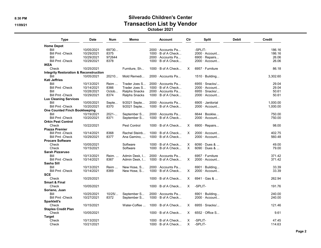#### 8:30 PM 11/09/21 Transaction List by Vendor October 2021

| <b>Type</b>                                       | <b>Date</b> | Num      | Memo          | <b>Account</b>            | Clr | <b>Split</b>          | <b>Debit</b> | Credit   |
|---------------------------------------------------|-------------|----------|---------------|---------------------------|-----|-----------------------|--------------|----------|
| <b>Home Depot</b>                                 |             |          |               |                           |     |                       |              |          |
| Bill                                              | 10/05/2021  | 69730    |               | 2000 · Accounts Pa        |     | -SPLIT-               |              | 186.16   |
| <b>Bill Pmt -Check</b>                            | 10/29/2021  | 8375     |               | $1000 \cdot B$ of A Check |     | 2000 · Account        |              | 186.16   |
| Bill                                              | 10/29/2021  | 972644   |               | 2000 Accounts Pa          |     | 6900 $\cdot$ Repairs  |              | 26.06    |
| <b>Bill Pmt -Check</b>                            | 10/29/2021  | 8378     |               | $1000 \cdot B$ of A Check |     | $2000 \cdot$ Account  |              | 26.06    |
| <b>IKEA</b>                                       |             |          |               |                           |     |                       |              |          |
| Check                                             | 10/25/2021  |          | Furniture, Sh | $1000 \cdot B$ of A Check | X   | 6957 · Furniture      |              | 86.18    |
| <b>Integrity Restoration &amp; Reconstruction</b> |             |          |               |                           |     |                       |              |          |
| Bill                                              | 10/05/2021  | 20210    | Mold Remedi   | 2000 · Accounts Pa        |     | $1510 \cdot$ Building |              | 3,302.60 |
| <b>Kati Jeffries</b>                              |             |          |               |                           |     |                       |              |          |
| Bill                                              | 10/13/2021  | Reim     | Trader Joes S | $2000 \cdot$ Accounts Pa  |     | $6955 \cdot$ Snacks/  |              | 29.04    |
| <b>Bill Pmt -Check</b>                            | 10/14/2021  | 8366     | Trader Joes S | $1000 \cdot B$ of A Check |     | $2000 \cdot$ Account  |              | 29.04    |
| Bill                                              | 10/28/2021  | Octob    | Ralphs Snacks | 2000 Accounts Pa          |     | $6955 \cdot$ Snacks/  |              | 50.61    |
| <b>Bill Pmt - Check</b>                           | 10/29/2021  | 8374     | Ralphs Snacks | $1000 \cdot B$ of A Check |     | $2000 \cdot$ Account  |              | 50.61    |
| <b>Lux Cleaning Services</b>                      |             |          |               |                           |     |                       |              |          |
| Bill                                              | 10/05/2021  | Septe    | 9/2021 Septe  | $2000 \cdot$ Accounts Pa  |     | 6905 · Janitorial     |              | 1,000.00 |
| <b>Bill Pmt - Check</b>                           | 10/20/2021  | 8370     | 9/2021 Septe  | $1000 \cdot B$ of A Check |     | $2000 \cdot$ Account  |              | 1,000.00 |
| <b>One Counted Finch Bookkeeping</b>              |             |          |               |                           |     |                       |              |          |
| Bill                                              | 10/19/2021  | $2021-.$ | September S   | 2000 Accounts Pa          |     | 6644 · Bookke         |              | 750.00   |
| <b>Bill Pmt -Check</b>                            | 10/20/2021  | 8371     | September S   | $1000 \cdot B$ of A Check |     | $2000 \cdot$ Account  |              | 750.00   |
| <b>Orkin Pest Control</b>                         |             |          |               |                           |     |                       |              |          |
| Check                                             | 10/22/2021  |          | Pest Control  | $1000 \cdot B$ of A Check | X   | 6900 · Repairs        |              | 98.00    |
| <b>Piazza Premier</b>                             |             |          |               |                           |     |                       |              |          |
| <b>Bill Pmt -Check</b>                            | 10/14/2021  | 8368     | Rachel Steinb | $1000 \cdot B$ of A Check | X   | $2000 \cdot$ Account  |              | 402.75   |
| <b>Bill Pmt - Check</b>                           | 10/29/2021  | 8377     | Ana Gamino,   | $1000 \cdot B$ of A Check |     | $2000 \cdot$ Account  |              | 560.48   |
| <b>Procare Software</b>                           |             |          |               |                           |     |                       |              |          |
| Check                                             | 10/05/2021  |          | Software      | $1000 \cdot B$ of A Check | X   | 6090 · Dues &         |              | 49.00    |
| Check                                             | 10/15/2021  |          | Software      | $1000 \cdot B$ of A Check | X   | $6090 \cdot$ Dues &   |              | 79.00    |
| <b>Sarah Pizzaruso</b>                            |             |          |               |                           |     |                       |              |          |
| Bill                                              |             |          |               |                           |     | 6957 · Furniture      |              |          |
|                                                   | 10/13/2021  | Reim     | Admin Desk, I | $2000 \cdot$ Accounts Pa  |     |                       |              | 371.42   |
| <b>Bill Pmt -Check</b>                            | 10/14/2021  | 8367     | Admin Desk, I | $1000 \cdot B$ of A Check | X   | 2000 · Account        |              | 371.42   |
| Sasha Sill                                        |             |          |               |                           |     |                       |              |          |
| Bill                                              | 10/13/2021  | Reim     | New Hose, S   | 2000 · Accounts Pa        |     | $6901 \cdot$ Building |              | 33.39    |
| <b>Bill Pmt - Check</b>                           | 10/14/2021  | 8369     | New Hose, S   | $1000 \cdot B$ of A Check | X   | 2000 · Account        |              | 33.39    |
| <b>SCE</b>                                        |             |          |               |                           |     |                       |              |          |
| Check                                             | 10/25/2021  |          |               | $1000 \cdot B$ of A Check | X   | $6941 \cdot$ Gas &    |              | 262.94   |
| <b>Smart &amp; Final</b>                          |             |          |               |                           |     |                       |              |          |
| Check                                             | 10/05/2021  |          |               | $1000 \cdot B$ of A Check | X   | -SPLIT-               |              | 191.76   |
| Soriano, Juan                                     |             |          |               |                           |     |                       |              |          |
| Bill                                              | 10/25/2021  | 10/25/   | September S   | $2000 \cdot$ Accounts Pa  |     | $6901 \cdot$ Building |              | 240.00   |
| <b>Bill Pmt -Check</b>                            | 10/27/2021  | 8372     | September S   | $1000 \cdot B$ of A Check |     | $2000 \cdot$ Account  |              | 240.00   |
| Sparklett's                                       |             |          |               |                           |     |                       |              |          |
| Check                                             | 10/15/2021  |          | Water-Coffee  | $1000 \cdot B$ of A Check | X   | $6955 \cdot$ Snacks/  |              | 121.46   |
| <b>Staples Credit Plan</b>                        |             |          |               |                           |     |                       |              |          |
| Check                                             | 10/05/2021  |          |               | $1000 \cdot B$ of A Check | X   | $6552 \cdot$ Office S |              | 9.61     |
| <b>Target</b>                                     |             |          |               |                           |     |                       |              |          |
| Check                                             | 10/13/2021  |          |               | $1000 \cdot B$ of A Check | Χ   | -SPLIT-               |              | 47.45    |
| Check                                             | 10/21/2021  |          |               | $1000 \cdot B$ of A Check | X   | -SPLIT-               |              | 114.63   |
|                                                   |             |          |               |                           |     |                       |              |          |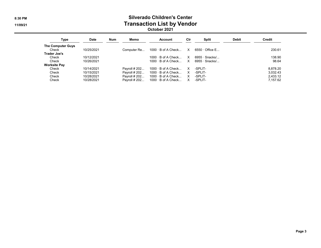#### 8:30 PM Silverado Children's Center 11/09/21 Transaction List by Vendor October 2021

| Type                              | <b>Date</b> | <b>Num</b> | Memo          | <b>Account</b>            | Cir      | Split                 | <b>Debit</b> | Credit   |
|-----------------------------------|-------------|------------|---------------|---------------------------|----------|-----------------------|--------------|----------|
| <b>The Computer Guys</b><br>Check | 10/25/2021  |            | Computer Re   | $1000 \cdot B$ of A Check | X        | $6550 \cdot$ Office E |              | 230.61   |
| Trader Joe's                      |             |            |               |                           |          |                       |              |          |
| Check                             | 10/12/2021  |            |               | $1000 \cdot B$ of A Check | $\times$ | $6955 \cdot$ Snacks/  |              | 138.90   |
| Check                             | 10/26/2021  |            |               | $1000 \cdot B$ of A Check | X.       | $6955 \cdot$ Snacks/  |              | 98.64    |
| <b>Worksite Pay</b>               |             |            |               |                           |          |                       |              |          |
| Check                             | 10/14/2021  |            | Payroll # 202 | $1000 \cdot B$ of A Check | X        | -SPLIT-               |              | 8.878.20 |
| Check                             | 10/15/2021  |            | Payroll # 202 | $1000 \cdot B$ of A Check | $\times$ | -SPLIT-               |              | 3.032.43 |
| Check                             | 10/28/2021  |            | Payroll # 202 | $1000 \cdot B$ of A Check | $\times$ | -SPLIT-               |              | 2,433.12 |
| Check                             | 10/28/2021  |            | Pavroll # 202 | $1000 \cdot B$ of A Check | X        | -SPLIT-               |              | 7.157.62 |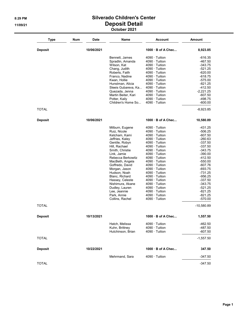#### 8:29 PM Silverado Children's Center 11/09/21 **Deposit Detail** October 2021

| <b>Type</b>    | Num | Date       | Name                           | <b>Account</b>           | <b>Amount</b> |
|----------------|-----|------------|--------------------------------|--------------------------|---------------|
| <b>Deposit</b> |     | 10/06/2021 |                                | $1000 \cdot B$ of A Chec | 8,923.85      |
|                |     |            | Bennett, James                 | $4090 \cdot$ Tuition     | $-616.35$     |
|                |     |            | Spradlin, Amanda               | $4090 \cdot$ Tuition     | -467.50       |
|                |     |            | Wilson, Kat                    | 4090 · Tuition           | $-343.75$     |
|                |     |            | Chang, Judith                  | $4090 \cdot$ Tuition     | $-521.25$     |
|                |     |            | Roberts, Faith                 | $4090 \cdot$ Tuition     | $-620.00$     |
|                |     |            | Franco, Nadine                 | $4090 \cdot$ Tuition     | $-618.75$     |
|                |     |            | Kwan, Hollie                   | $4090 \cdot$ Tuition     | $-575.00$     |
|                |     |            | Hunstman, Alicia               | $4090 \cdot$ Tuition     | $-821.25$     |
|                |     |            | Sleeis Gubareva, Ka            | $4090 \cdot$ Tuition     | $-412.50$     |
|                |     |            | Quezada, Jenna                 | $4090 \cdot$ Tuition     | $-2,221.25$   |
|                |     |            | Martin Beiter, Kari            | $4090 \cdot$ Tuition     | -607.50       |
|                |     |            | Potter, Kaily                  | $4090 \cdot$ Tuition     | -498.75       |
|                |     |            | Children's Home So             | $4090 \cdot$ Tuition     | $-600.00$     |
| TOTAL          |     |            |                                |                          | $-8,923.85$   |
| <b>Deposit</b> |     | 10/06/2021 |                                | $1000 \cdot B$ of A Chec | 10,580.89     |
|                |     |            | Milburn, Eugene                | $4090 \cdot$ Tuition     | -431.25       |
|                |     |            | Ruiz, Nicole                   | $4090 \cdot$ Tuition     | $-506.25$     |
|                |     |            | Ketcham, Kami                  | $4090 \cdot$ Tuition     | $-607.50$     |
|                |     |            | Jeffries, Kaley                | $4090 \cdot$ Tuition     | $-260.63$     |
|                |     |            | Gentile, Robyn                 | $4090 \cdot$ Tuition     | $-337.50$     |
|                |     |            | Hill, Rachael                  | $4090 \cdot$ Tuition     | $-337.50$     |
|                |     |            | Smith, Christie                | $4090 \cdot$ Tuition     | $-343.75$     |
|                |     |            | Link, Jamie                    | $4090 \cdot$ Tuition     | $-390.00$     |
|                |     |            | Rebecca Berkowitz              | $4090 \cdot$ Tuition     | $-412.50$     |
|                |     |            | MacBeth, Angela                | $4090 \cdot$ Tuition     | $-550.00$     |
|                |     |            | Goffredo, David                | $4090 \cdot$ Tuition     | $-607.76$     |
|                |     |            | Morgan, Jason                  | $4090 \cdot$ Tuition     | $-693.75$     |
|                |     |            | Hudson, Noah                   | $4090 \cdot$ Tuition     | $-731.25$     |
|                |     |            | Blanc, Richard                 | $4090 \cdot$ Tuition     | $-956.25$     |
|                |     |            | Hassey, Celeste                | $4090 \cdot$ Tuition     | $-337.50$     |
|                |     |            | Nishimura, Akane               | $4090 \cdot$ Tuition     | $-343.75$     |
|                |     |            | Dudley, Lauren                 | $4090 \cdot$ Tuition     | $-521.25$     |
|                |     |            | Lee, Jeannie                   | $4090 \cdot$ Tuition     | $-821.25$     |
|                |     |            |                                | $4090 \cdot$ Tuition     | $-821.25$     |
|                |     |            | Park, Annie<br>Collins, Rachel | $4090 \cdot$ Tuition     | $-570.00$     |
| <b>TOTAL</b>   |     |            |                                |                          | $-10,580.89$  |
| <b>Deposit</b> |     | 10/13/2021 |                                | $1000 \cdot B$ of A Chec | 1,557.50      |
|                |     |            | Hatch, Melissa                 | $4090 \cdot$ Tuition     | -462.50       |
|                |     |            | Kuhn, Brittney                 | $4090 \cdot$ Tuition     | -487.50       |
|                |     |            | Hutchinson, Brian              | $4090 \cdot$ Tuition     | $-607.50$     |
| <b>TOTAL</b>   |     |            |                                |                          | $-1,557.50$   |
| <b>Deposit</b> |     | 10/22/2021 |                                | $1000 \cdot B$ of A Chec | 347.50        |
|                |     |            | Mehrmand, Sara                 | $4090 \cdot$ Tuition     | $-347.50$     |
| <b>TOTAL</b>   |     |            |                                |                          | $-347.50$     |
|                |     |            |                                |                          |               |